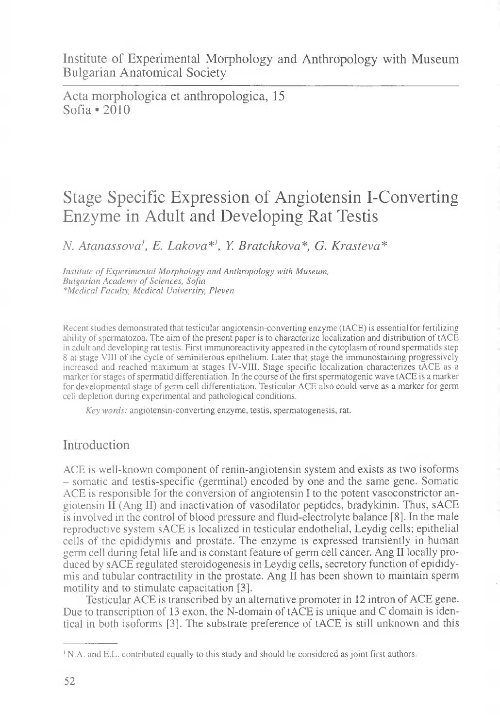Institute of Experimental Morphology and Anthropology with Museum Bulgarian Anatomical Society

Acta morphologica et anthropologica, 15 Sofia  $\cdot$  2010

# Stage Specific Expression of Angiotensin I-Converting Enzyme in Adult and Developing Rat Testis

*N. Atanassova1, E. Lakova\*1, Y. Bratchkova\*, G. Krasteva\**

*Institute of Experimental Morphology and Anthropology with Museum, Bulgarian Academy of Sciences, Sofia \*Medical Faculty, Medical University, Pleven*

Recent studies demonstrated that testicular angiotensin-converting enzyme (tACE) is essentialfor fertilizing ability of spermatozoa. The aim of the present paper is to characterize localization and distribution of tACE in adult and developing rat testis. First immunoreactivity appeared in the cytoplasm of round spermatids step 8 at stage VIII of the cycle of seminiferous epithelium. Later that stage the immunostaining progressively increased and reached maximum at stages IV-VIII. Stage specific localization characterizes tACE as a marker for stages of spermatid differentiation. In the course of the first spermatogenic wave tACE is a marker for developmental stage of germ cell differentiation. Testicular ACE also could serve as a marker for germ cell depletion during experimental and pathological conditions.

*Key words:* angiotensin-converting enzyme, testis, spermatogenesis, rat.

### Introduction

ACE is well-known component of renin-angiotensin system and exists as two isoforms - somatic and testis-specific (germinal) encoded by one and the same gene. Somatic ACE is responsible for the conversion of angiotensin I to the potent vasoconstrictor angiotensin  $\overline{II}$  (Ang II) and inactivation of vasodilator peptides, bradykinin. Thus, sACE is involved in the control of blood pressure and fluid-electrolyte balance [8]. In the male reproductive system sACE is localized in testicular endothelial, Leydig cells; epithelial cells of the epididymis and prostate. The enzyme is expressed transiently in human germ cell during fetal life and is constant feature of germ cell cancer. Ang II locally produced by sACE regulated steroidogenesis in Leydig cells, secretory function of epididymis and tubular contractility in the prostate. Ang II has been shown to maintain sperm motility and to stimulate capacitation [3].

Testicular ACE is transcribed by an alternative promoter in 12 intron of ACE gene. Due to transcription of 13 exon, the N-domain of tACE is unique and C domain is identical in both isoforms [3]. The substrate preference of tACE is still unknown and this

<sup>1</sup> N.A. and E.L. contributed equally to this study and should be considered as joint first authors.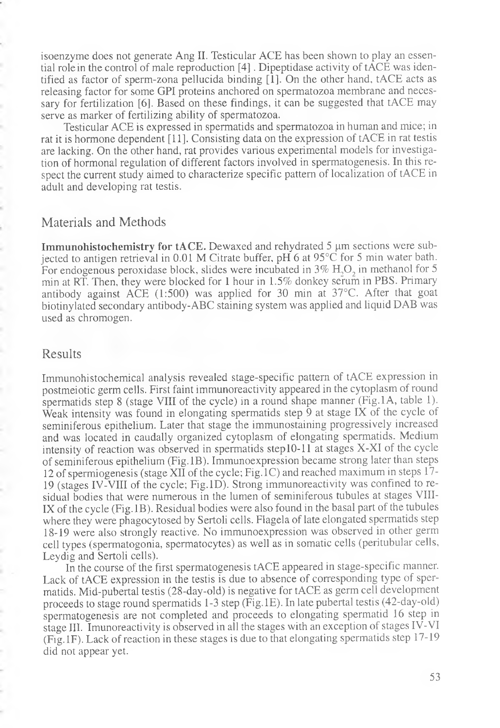isoenzyme does not generate Ang II. Testicular ACE has been shown to play an essential role in the control of male reproduction [4] . Dipeptidase activity of tACE was identified as factor of sperm-zona pellucida binding [1]. On the other hand. tACE acts as releasing factor for some GPI proteins anchored on spermatozoa membrane and necessary for fertilization [6]. Based on these findings, it can be suggested that tACE may serve as marker of fertilizing ability of spermatozoa.

Testicular ACE is expressed in spermatids and spermatozoa in human and mice; in rat it is hormone dependent [11]. Consisting data on the expression of tACE in rat testis are lacking. On the other hand, rat provides various experimental models for investigation of hormonal regulation of different factors involved in spermatogenesis. In this respect the current study aimed to characterize specific pattern of localization of tACE in adult and developing rat testis.

#### Materials and Methods

**Immunohistochemistry for tACE.** Dewaxed and rehydrated 5 µm sections were subjected to antigen retrieval in 0.01 M Citrate buffer, pH 6 at 95°C for 5 min water bath. For endogenous peroxidase block, slides were incubated in  $3\%$  H<sub>2</sub>O<sub>2</sub> in methanol for 5 min at RT. Then, they were blocked for 1 hour in 1.5% donkey serum in PBS. Primary antibody against ACE (1:500) was applied for 30 min at  $37^{\circ}$ C. After that goat biotinylated secondary antibody-ABC staining system was applied and liquid DAB was used as chromogen.

#### Results

Immunohistochemical analysis revealed stage-specific pattern of tACE expression in postmeiotic germ cells. First faint immunoreactivity appeared in the cytoplasm of round spermatids step 8 (stage VIII of the cycle) in a round shape manner (Fig. 1A, table 1). Weak intensity was found in elongating spermatids step 9 at stage IX of the cycle of seminiferous epithelium. Later that stage the immunostaining progressively increased and was located in caudally organized cytoplasm of elongating spermatids. Medium intensity of reaction was observed in spermatids stepl0-ll at stages X-XI of the cycle of seminiferous epithelium (Fig. IB). Immunoexpression became strong later than steps 12 of spermiogenesis (stage XII of the cycle; Fig. 1C) and reached maximum in steps 17 19 (stages IV-VIII of the cycle; Fig.ID). Strong immunoreactivity was confined to residual bodies that were numerous in the lumen of seminiferous tubules at stages VIII-IX of the cycle (Fig. IB). Residual bodies were also found in the basal part of the tubules where they were phagocytosed by Sertoli cells. Flagela of late elongated spermatids step 18-19 were also strongly reactive. No immunoexpression was observed in other germ cell types (spermatogonia, spermatocytes) as well as in somatic cells (peritubular cells, Leydig and Sertoli cells).

In the course of the first spermatogenesis tACE appeared in stage-specific manner. Lack of tACE expression in the testis is due to absence of corresponding type of spermatids. Mid-pubertal testis (28-day-old) is negative for tACE as germ cell development proceeds to stage round spermatids 1-3 step (Fig.IE). In late pubertal testis (42-day-old) spermatogenesis are not completed and proceeds to elongating spermatid 16 step in stage III. Imunoreactivity is observed in all the stages with an exception of stages IV-VI (Fig. IF). Lack of reaction in these stages is due to that elongating spermatids step 17-19 did not appear yet.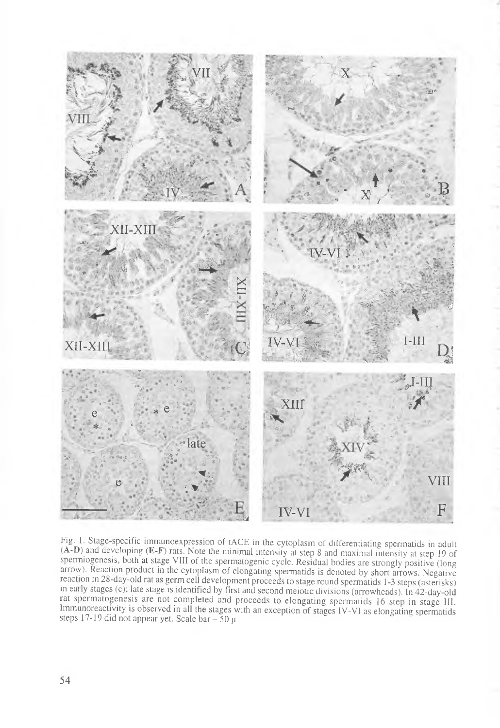

Fig. 1. Stage-specific immunoexpression of tACE in the cytoplasm of differentiating spermatids in adult (A-D) and developing (E-F) rats. Note the minimal intensity at step 8 and maximal intensity at step 19 of spermiogenesis, both at stage VIII of the spermatogenic cycle. Residual bodies are strongly positive (long arrow). Reaction product in the cytoplasm of elongating spermatids is denoted by short arrows. Negative reaction in 28-day-old rat as germ cell development proceeds to stage round spermatids 1-3 steps (asterisks) in early stages (e); late stage is identified by first and second meiotic divisions (arrowheads). In 42-day-old rat spermatogenesis are not completed and proceeds to elongating spermatids 16 step in stage III. Immunoreactivity is observed in all the stages with an exception of stages IV-VI as elongating spermatids steps 17-19 did not appear yet. Scale bar -  $50 \mu$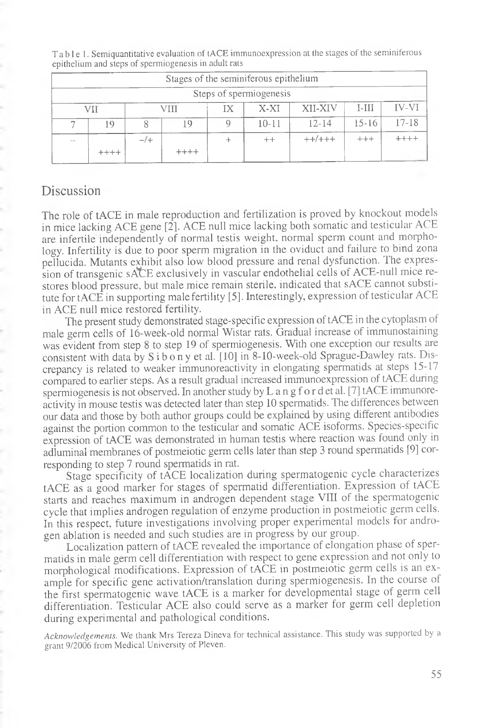|              |         |       | Stages of the seminiferous epithelium |   |                         |              |           |              |
|--------------|---------|-------|---------------------------------------|---|-------------------------|--------------|-----------|--------------|
|              |         |       |                                       |   | Steps of spermiogenesis |              |           |              |
|              | VH      |       | VIII                                  |   | X-XI                    | XII-XIV      | $I-III$   | <b>IV-VI</b> |
| $\sqrt{2}$   | 1 Q     |       |                                       | O | $10 - 11$               | $12 - 14$    | $15 - 16$ | $17 - 18$    |
| <b>START</b> |         | $-/+$ |                                       |   | $^{++}$                 | $+ +/ + + +$ | $+++$     | ++++         |
|              | $++++-$ |       | $+++++$                               |   |                         |              |           |              |

Table 1. Semiquantitative evaluation of tACE immunoexpression at the stages of the seminiferous epithelium and steps of spermiogenesis in adult rats

## Discussion

The role of tACE in male reproduction and fertilization is proved by knockout models in mice lacking ACE gene [2]. ACE null mice lacking both somatic and testicular ACE are infertile independently of normal testis weight, normal sperm count and morphology. Infertility is due to poor sperm migration in the oviduct and failure to bind zona pellucida. Mutants exhibit also low blood pressure and renal dysfunction. The expression of transgenic sACE exclusively in vascular endothelial cells of ACE-null mice restores blood pressure, but male mice remain sterile, indicated that sACE cannot substitute for tACE in supporting male fertility [5]. Interestingly, expression of testicular ACE in ACE null mice restored fertility.

The present study demonstrated stage-specific expression of tACE in the cytoplasm of male germ cells of 16-week-old normal Wistar rats. Gradual increase of immunostaining was evident from step 8 to step 19 of spermiogenesis. With one exception our results are consistent with data by S i b o n y et al. [10] in 8-10-week-old Sprague-Dawley rats. Discrepancy is related to weaker immunoreactivity in elongating spermatids at steps 15-17 compared to earlier steps. As a result gradual increased immunoexpression of tACE during spermiogenesis is not observed. In another study by L a n g f o r d et al. [7] tACE immunoreactivity in mouse testis was detected later than step 10 spermatids. The differences between our data and those by both author groups could be explained by using different antibodies against the portion common to the testicular and somatic ACE isoforms. Species-specific expression of tACE was demonstrated in human testis where reaction was found only in adluminal membranes of postmeiotic germ cells later than step 3 round spermatids [9] corresponding to step 7 round spermatids in rat.

Stage specificity of tACE localization during spermatogenic cycle characterizes tACE as a good marker for stages of spermatid differentiation. Expression of tACE starts and reaches maximum in androgen dependent stage VIII of the spermatogenic cycle that implies androgen regulation of enzyme production in postmeiotic germ cells. In this respect, future investigations involving proper experimental models for androgen ablation is needed and such studies are in progress by our group.

Localization pattern of tACE revealed the importance of elongation phase of spermatids in male germ cell differentiation with respect to gene expression and not only to morphological modifications. Expression of tACE in postmeiotic germ cells is an example for specific gene activation/translation during spermiogenesis. In the course of the first spermatogenic wave tACE is a marker for developmental stage of germ cell differentiation. Testicular ACE also could serve as a marker for germ cell depletion during experimental and pathological conditions.

*Acknowledgements.* We thank Mrs Tereza Dineva for technical assistance. This study was supported by a grant 9/2006 from Medical University of Pleven.